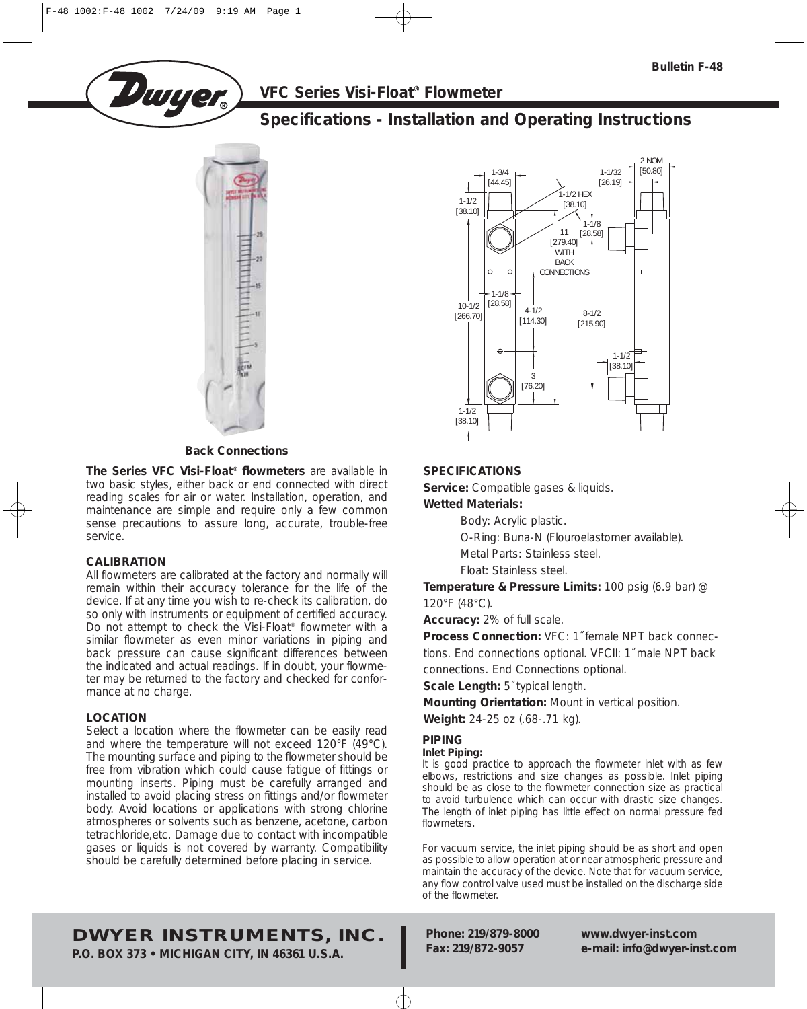**VFC Series Visi-Float® Flowmeter**

# **Specifications - Installation and Operating Instructions**



**Dwyer** 

### **Back Connections**

**The Series VFC Visi-Float® flowmeters** are available in two basic styles, either back or end connected with direct reading scales for air or water. Installation, operation, and maintenance are simple and require only a few common sense precautions to assure long, accurate, trouble-free service.

# **CALIBRATION**

All flowmeters are calibrated at the factory and normally will remain within their accuracy tolerance for the life of the device. If at any time you wish to re-check its calibration, do so only with instruments or equipment of certified accuracy. Do not attempt to check the Visi-Float® flowmeter with a similar flowmeter as even minor variations in piping and back pressure can cause significant differences between the indicated and actual readings. If in doubt, your flowmeter may be returned to the factory and checked for conformance at no charge.

# **LOCATION**

Select a location where the flowmeter can be easily read and where the temperature will not exceed 120°F (49°C). The mounting surface and piping to the flowmeter should be free from vibration which could cause fatigue of fittings or mounting inserts. Piping must be carefully arranged and installed to avoid placing stress on fittings and/or flowmeter body. Avoid locations or applications with strong chlorine atmospheres or solvents such as benzene, acetone, carbon tetrachloride,etc. Damage due to contact with incompatible gases or liquids is not covered by warranty. Compatibility should be carefully determined before placing in service.



# **SPECIFICATIONS**

**Service:** Compatible gases & liquids.

# **Wetted Materials:**

Body: Acrylic plastic.

O-Ring: Buna-N (Flouroelastomer available).

Metal Parts: Stainless steel.

Float: Stainless steel.

**Temperature & Pressure Limits:** 100 psig (6.9 bar) @ 120°F (48°C).

**Accuracy:** 2% of full scale.

**Process Connection:** VFC: 1˝ female NPT back connections. End connections optional. VFCII: 1˝ male NPT back connections. End Connections optional.

**Scale Length:** 5˝ typical length.

**Mounting Orientation:** Mount in vertical position. **Weight:** 24-25 oz (.68-.71 kg).

# **PIPING**

### **Inlet Piping:**

It is good practice to approach the flowmeter inlet with as few elbows, restrictions and size changes as possible. Inlet piping should be as close to the flowmeter connection size as practical to avoid turbulence which can occur with drastic size changes. The length of inlet piping has little effect on normal pressure fed flowmeters.

For vacuum service, the inlet piping should be as short and open as possible to allow operation at or near atmospheric pressure and maintain the accuracy of the device. Note that for vacuum service, any flow control valve used must be installed on the discharge side of the flowmeter.

**DWYER INSTRUMENTS, INC.**

**P.O. BOX 373 • MICHIGAN CITY, IN 46361 U.S.A.**

**Phone: 219/879-8000 www.dwyer-inst.com Fax: 219/872-9057 e-mail: info@dwyer-inst.com**